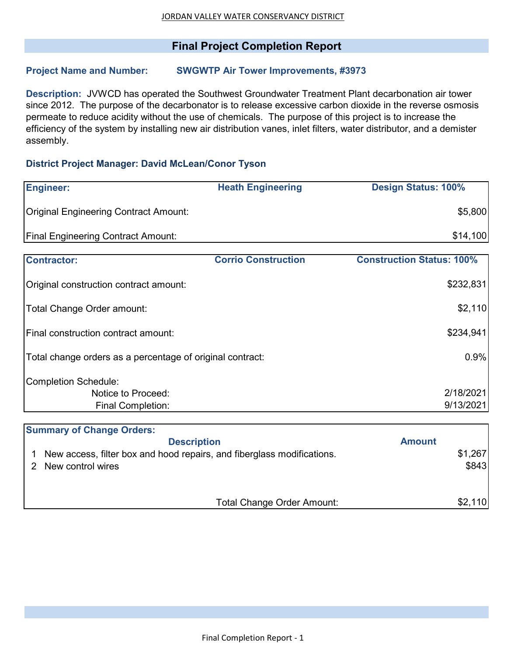## **Final Project Completion Report**

## **Project Name and Number: SWGWTP Air Tower Improvements, #3973**

**Description:** JVWCD has operated the Southwest Groundwater Treatment Plant decarbonation air tower since 2012. The purpose of the decarbonator is to release excessive carbon dioxide in the reverse osmosis permeate to reduce acidity without the use of chemicals. The purpose of this project is to increase the efficiency of the system by installing new air distribution vanes, inlet filters, water distributor, and a demister assembly.

## **District Project Manager: David McLean/Conor Tyson**

| <b>Engineer:</b>                                                                                 | <b>Heath Engineering</b>   | <b>Design Status: 100%</b>       |                  |
|--------------------------------------------------------------------------------------------------|----------------------------|----------------------------------|------------------|
| <b>Original Engineering Contract Amount:</b>                                                     |                            |                                  | \$5,800          |
| <b>Final Engineering Contract Amount:</b>                                                        |                            |                                  | \$14,100         |
| <b>Contractor:</b>                                                                               | <b>Corrio Construction</b> | <b>Construction Status: 100%</b> |                  |
| Original construction contract amount:                                                           |                            |                                  | \$232,831        |
| Total Change Order amount:                                                                       |                            |                                  | \$2,110          |
| Final construction contract amount:                                                              |                            |                                  | \$234,941        |
| Total change orders as a percentage of original contract:                                        |                            |                                  | 0.9%             |
| <b>Completion Schedule:</b>                                                                      |                            |                                  |                  |
| Notice to Proceed:                                                                               |                            |                                  | 2/18/2021        |
| <b>Final Completion:</b>                                                                         |                            |                                  | 9/13/2021        |
|                                                                                                  |                            |                                  |                  |
| <b>Summary of Change Orders:</b>                                                                 |                            |                                  |                  |
| <b>Description</b>                                                                               |                            | <b>Amount</b>                    |                  |
| New access, filter box and hood repairs, and fiberglass modifications.<br>New control wires<br>2 |                            |                                  | \$1,267<br>\$843 |

Total Change Order Amount:

\$2,110